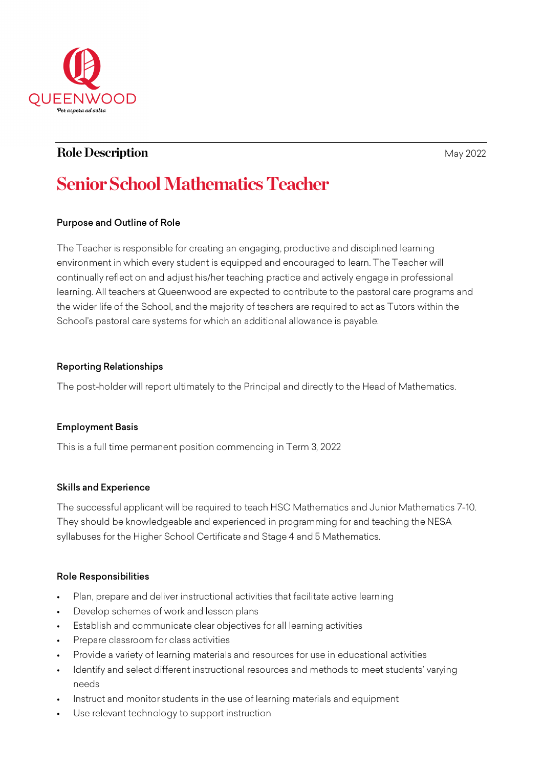

## **Role Description** May 2022

# **Senior School Mathematics Teacher**

#### Purpose and Outline of Role

The Teacher is responsible for creating an engaging, productive and disciplined learning environment in which every student is equipped and encouraged to learn. The Teacher will continually reflect on and adjust his/her teaching practice and actively engage in professional learning. All teachers at Queenwood are expected to contribute to the pastoral care programs and the wider life of the School, and the majority of teachers are required to act as Tutors within the School's pastoral care systems for which an additional allowance is payable.

### Reporting Relationships

The post-holder will report ultimately to the Principal and directly to the Head of Mathematics.

#### Employment Basis

This is a full time permanent position commencing in Term 3, 2022

#### Skills and Experience

The successful applicant will be required to teach HSC Mathematics and Junior Mathematics 7-10. They should be knowledgeable and experienced in programming for and teaching the NESA syllabuses for the Higher School Certificate and Stage 4 and 5 Mathematics.

#### Role Responsibilities

- Plan, prepare and deliver instructional activities that facilitate active learning
- Develop schemes of work and lesson plans
- Establish and communicate clear objectives for all learning activities
- Prepare classroom for class activities
- Provide a variety of learning materials and resources for use in educational activities
- Identify and select different instructional resources and methods to meet students' varying needs
- Instruct and monitor students in the use of learning materials and equipment
- Use relevant technology to support instruction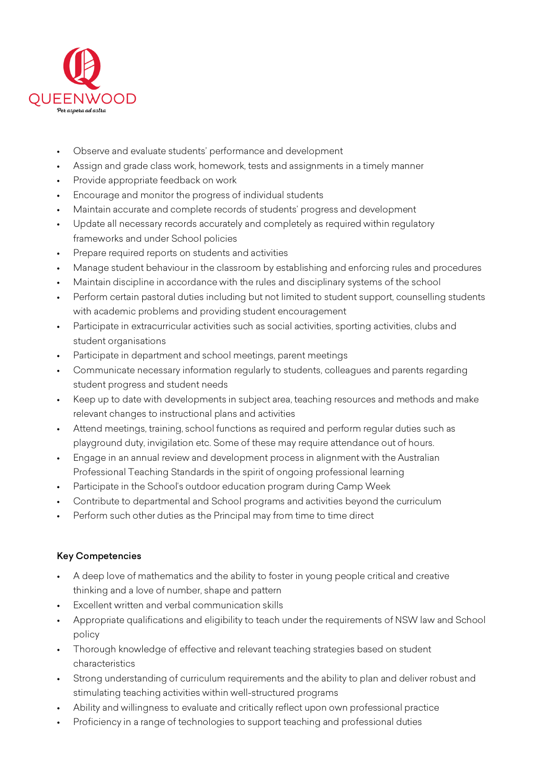

- Observe and evaluate students' performance and development
- Assign and grade class work, homework, tests and assignments in a timely manner
- Provide appropriate feedback on work
- Encourage and monitor the progress of individual students
- Maintain accurate and complete records of students' progress and development
- Update all necessary records accurately and completely as required within regulatory frameworks and under School policies
- Prepare required reports on students and activities
- Manage student behaviour in the classroom by establishing and enforcing rules and procedures
- Maintain discipline in accordance with the rules and disciplinary systems of the school
- Perform certain pastoral duties including but not limited to student support, counselling students with academic problems and providing student encouragement
- Participate in extracurricular activities such as social activities, sporting activities, clubs and student organisations
- Participate in department and school meetings, parent meetings
- Communicate necessary information regularly to students, colleagues and parents regarding student progress and student needs
- Keep up to date with developments in subject area, teaching resources and methods and make relevant changes to instructional plans and activities
- Attend meetings, training, school functions as required and perform regular duties such as playground duty, invigilation etc. Some of these may require attendance out of hours.
- Engage in an annual review and development process in alignment with the Australian Professional Teaching Standards in the spirit of ongoing professional learning
- Participate in the School's outdoor education program during Camp Week
- Contribute to departmental and School programs and activities beyond the curriculum
- Perform such other duties as the Principal may from time to time direct

#### Key Competencies

- A deep love of mathematics and the ability to foster in young people critical and creative thinking and a love of number, shape and pattern
- Excellent written and verbal communication skills
- Appropriate qualifications and eligibility to teach under the requirements of NSW law and School policy
- Thorough knowledge of effective and relevant teaching strategies based on student characteristics
- Strong understanding of curriculum requirements and the ability to plan and deliver robust and stimulating teaching activities within well-structured programs
- Ability and willingness to evaluate and critically reflect upon own professional practice
- Proficiency in a range of technologies to support teaching and professional duties